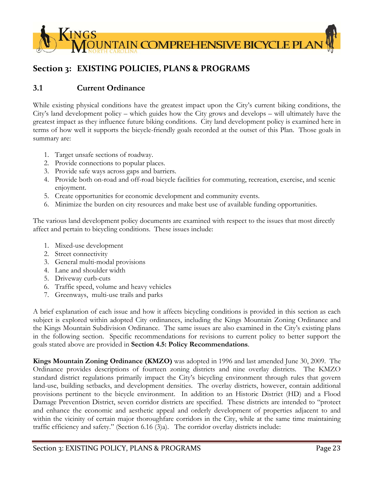

# **Section 3: EXISTING POLICIES, PLANS & PROGRAMS**

# **3.1 Current Ordinance**

While existing physical conditions have the greatest impact upon the City's current biking conditions, the City's land development policy – which guides how the City grows and develops – will ultimately have the greatest impact as they influence future biking conditions. City land development policy is examined here in terms of how well it supports the bicycle-friendly goals recorded at the outset of this Plan. Those goals in summary are:

- 1. Target unsafe sections of roadway.
- 2. Provide connections to popular places.
- 3. Provide safe ways across gaps and barriers.
- 4. Provide both on-road and off-road bicycle facilities for commuting, recreation, exercise, and scenic enjoyment.
- 5. Create opportunities for economic development and community events.
- 6. Minimize the burden on city resources and make best use of available funding opportunities.

The various land development policy documents are examined with respect to the issues that most directly affect and pertain to bicycling conditions. These issues include:

- 1. Mixed-use development
- 2. Street connectivity
- 3. General multi-modal provisions
- 4. Lane and shoulder width
- 5. Driveway curb-cuts
- 6. Traffic speed, volume and heavy vehicles
- 7. Greenways, multi-use trails and parks

A brief explanation of each issue and how it affects bicycling conditions is provided in this section as each subject is explored within adopted City ordinances, including the Kings Mountain Zoning Ordinance and the Kings Mountain Subdivision Ordinance. The same issues are also examined in the City's existing plans in the following section. Specific recommendations for revisions to current policy to better support the goals stated above are provided in **Section 4.5: Policy Recommendations**.

**Kings Mountain Zoning Ordinance (KMZO)** was adopted in 1996 and last amended June 30, 2009. The Ordinance provides descriptions of fourteen zoning districts and nine overlay districts. The KMZO standard district regulations primarily impact the City's bicycling environment through rules that govern land-use, building setbacks, and development densities. The overlay districts, however, contain additional provisions pertinent to the bicycle environment. In addition to an Historic District (HD) and a Flood Damage Prevention District, seven corridor districts are specified. These districts are intended to "protect and enhance the economic and aesthetic appeal and orderly development of properties adjacent to and within the vicinity of certain major thoroughfare corridors in the City, while at the same time maintaining traffic efficiency and safety." (Section 6.16 (3)a). The corridor overlay districts include: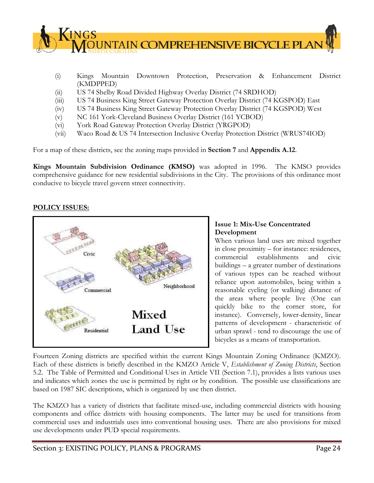

- (i) Kings Mountain Downtown Protection, Preservation & Enhancement District (KMDPPED)
- (ii) US 74 Shelby Road Divided Highway Overlay District (74 SRDHOD)
- (iii) US 74 Business King Street Gateway Protection Overlay District (74 KGSPOD) East
- (iv) US 74 Business King Street Gateway Protection Overlay District (74 KGSPOD) West
- (v) NC 161 York-Cleveland Business Overlay District (161 YCBOD)
- (vi) York Road Gateway Protection Overlay District (YRGPOD)
- (vii) Waco Road & US 74 Intersection Inclusive Overlay Protection District (WRUS74IOD)

For a map of these districts, see the zoning maps provided in **Section 7** and **Appendix A.12**.

**Kings Mountain Subdivision Ordinance (KMSO)** was adopted in 1996. The KMSO provides comprehensive guidance for new residential subdivisions in the City. The provisions of this ordinance most conducive to bicycle travel govern street connectivity.

# **POLICY ISSUES:**



## **Issue 1: Mix-Use Concentrated Development**

When various land uses are mixed together in close proximity – for instance: residences, commercial establishments and civic buildings – a greater number of destinations of various types can be reached without reliance upon automobiles, being within a reasonable cycling (or walking) distance of the areas where people live (One can quickly bike to the corner store, for instance). Conversely, lower-density, linear patterns of development - characteristic of urban sprawl - tend to discourage the use of bicycles as a means of transportation.

Fourteen Zoning districts are specified within the current Kings Mountain Zoning Ordinance (KMZO). Each of these districts is briefly described in the KMZO Article V, *Establishment of Zoning Districts*, Section 5.2. The Table of Permitted and Conditional Uses in Article VII (Section 7.1), provides a lists various uses and indicates which zones the use is permitted by right or by condition. The possible use classifications are based on 1987 SIC descriptions, which is organized by use then district.

The KMZO has a variety of districts that facilitate mixed-use, including commercial districts with housing components and office districts with housing components. The latter may be used for transitions from commercial uses and industrials uses into conventional housing uses. There are also provisions for mixed use developments under PUD special requirements.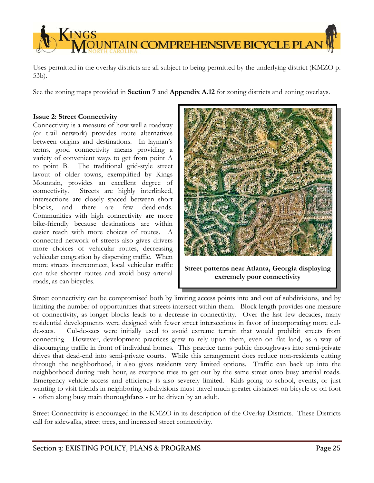

Uses permitted in the overlay districts are all subject to being permitted by the underlying district (KMZO p. 53b).

See the zoning maps provided in **Section 7** and **Appendix A.12** for zoning districts and zoning overlays.

#### **Issue 2: Street Connectivity**

Connectivity is a measure of how well a roadway (or trail network) provides route alternatives between origins and destinations. In layman's terms, good connectivity means providing a variety of convenient ways to get from point A to point B. The traditional grid-style street layout of older towns, exemplified by Kings Mountain, provides an excellent degree of connectivity. Streets are highly interlinked, intersections are closely spaced between short blocks, and there are few dead-ends. Communities with high connectivity are more bike-friendly because destinations are within easier reach with more choices of routes. A connected network of streets also gives drivers more choices of vehicular routes, decreasing vehicular congestion by dispersing traffic. When more streets interconnect, local vehicular traffic can take shorter routes and avoid busy arterial roads, as can bicycles.



**Street patterns near Atlanta, Georgia displaying extremely poor connectivity** 

Street connectivity can be compromised both by limiting access points into and out of subdivisions, and by limiting the number of opportunities that streets intersect within them. Block length provides one measure of connectivity, as longer blocks leads to a decrease in connectivity. Over the last few decades, many residential developments were designed with fewer street intersections in favor of incorporating more culde-sacs. Cul-de-sacs were initially used to avoid extreme terrain that would prohibit streets from connecting. However, development practices grew to rely upon them, even on flat land, as a way of discouraging traffic in front of individual homes. This practice turns public throughways into semi-private drives that dead-end into semi-private courts. While this arrangement does reduce non-residents cutting through the neighborhood, it also gives residents very limited options. Traffic can back up into the neighborhood during rush hour, as everyone tries to get out by the same street onto busy arterial roads. Emergency vehicle access and efficiency is also severely limited. Kids going to school, events, or just wanting to visit friends in neighboring subdivisions must travel much greater distances on bicycle or on foot - often along busy main thoroughfares - or be driven by an adult.

Street Connectivity is encouraged in the KMZO in its description of the Overlay Districts. These Districts call for sidewalks, street trees, and increased street connectivity.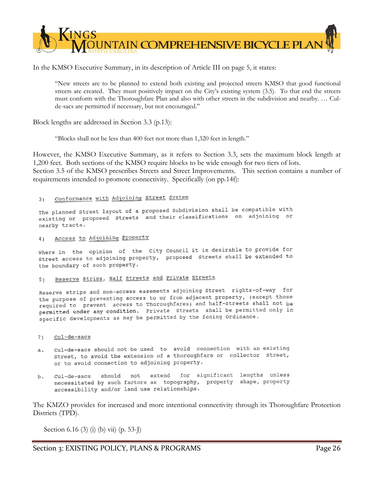

In the KMSO Executive Summary, in its description of Article III on page 5, it states:

"New streets are to be planned to extend both existing and projected streets KMSO that good functional streets are created. They must positively impact on the City's existing system (3.5). To that end the streets must conform with the Thoroughfare Plan and also with other streets in the subdivision and nearby. … Culde-sacs are permitted if necessary, but not encouraged."

Block lengths are addressed in Section 3.3 (p.13):

"Blocks shall not be less than 400 feet not more than 1,320 feet in length."

However, the KMSO Executive Summary, as it refers to Section 3.3, sets the maximum block length at 1,200 feet. Both sections of the KMSO require blocks to be wide enough for two tiers of lots. Section 3.5 of the KMSO prescribes Streets and Street Improvements. This section contains a number of requirements intended to promote connectivity. Specifically (on pp.14f):

#### Conformance with Adjoining Street System  $3)$

The planned Street layout of a proposed Subdivision shall be compatible with The planned Street layout of a proposed subdivision shell be completed. nearby tracts.

Access to Adjoining Property  $4<sub>1</sub>$ 

Where in the opinion of the City Council it is desirable to provide for Where in the opinion of the city countries to access to adjoining property, proposed Streets shall be extended to the boundary of such property.

#### Reserve Strips, Half Streets and Private Streets 5)

Reserve strips and non-access easements adjoining Street rights-of-way for the purpose of preventing access to or from adjacent property, (except those required to prevent access to Thoroughfares) and half-Streets shall not be permitted under any condition. Private Streets shall be permitted only in specific developments as may be permitted by the Zoning Ordinance.

- cul-de-sacs  $7<sub>1</sub>$
- cul-de-sacs should not be used to avoid connection with an existing  $a$ . street, to avoid the extension of a thoroughfare or collector street, or to avoid connection to adjoining property.
- for significant lengths unless extend should not.  $cu1-de-sacs$  $h$ . necessitated by such factors as topography, property shape, property accessibility and/or land use relationships.

The KMZO provides for increased and more intentional connectivity through its Thoroughfare Protection Districts (TPD).

Section 6.16 (3) (i) (b) vii) (p. 53-J)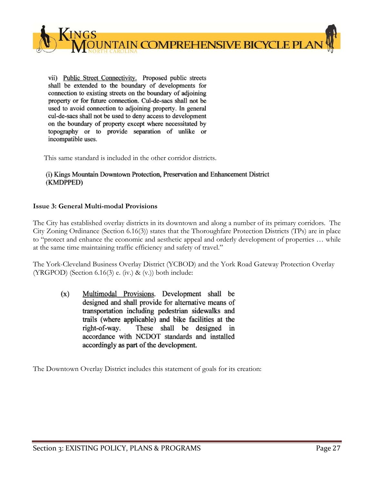

vii) Public Street Connectivity. Proposed public streets shall be extended to the boundary of developments for connection to existing streets on the boundary of adjoining property or for future connection. Cul-de-sacs shall not be used to avoid connection to adjoining property. In general cul-de-sacs shall not be used to deny access to development on the boundary of property except where necessitated by topography or to provide separation of unlike or incompatible uses.

This same standard is included in the other corridor districts.

#### (i) Kings Mountain Downtown Protection, Preservation and Enhancement District (KMDPPED)

#### **Issue 3: General Multi-modal Provisions**

The City has established overlay districts in its downtown and along a number of its primary corridors. The City Zoning Ordinance (Section 6.16(3)) states that the Thoroughfare Protection Districts (TPs) are in place to "protect and enhance the economic and aesthetic appeal and orderly development of properties … while at the same time maintaining traffic efficiency and safety of travel."

The York-Cleveland Business Overlay District (YCBOD) and the York Road Gateway Protection Overlay (YRGPOD) (Section 6.16(3) e. (iv.) & (v.)) both include:

Multimodal Provisions. Development shall be  $(x)$ designed and shall provide for alternative means of transportation including pedestrian sidewalks and trails (where applicable) and bike facilities at the right-of-way. These shall be designed in accordance with NCDOT standards and installed accordingly as part of the development.

The Downtown Overlay District includes this statement of goals for its creation: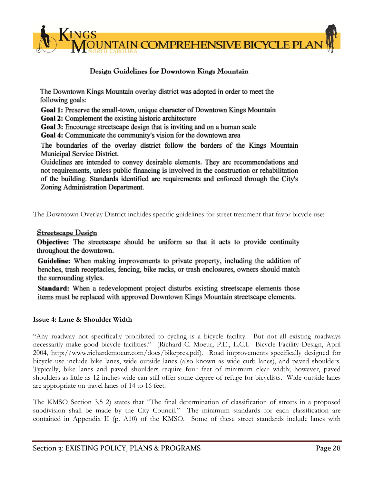

# Design Guidelines for Downtown Kings Mountain

The Downtown Kings Mountain overlay district was adopted in order to meet the following goals:

Goal 1: Preserve the small-town, unique character of Downtown Kings Mountain Goal 2: Complement the existing historic architecture

Goal 3: Encourage streetscape design that is inviting and on a human scale

Goal 4: Communicate the community's vision for the downtown area

The boundaries of the overlay district follow the borders of the Kings Mountain Municipal Service District.

Guidelines are intended to convey desirable elements. They are recommendations and not requirements, unless public financing is involved in the construction or rehabilitation of the building. Standards identified are requirements and enforced through the City's Zoning Administration Department.

The Downtown Overlay District includes specific guidelines for street treatment that favor bicycle use:

#### Streetscape Design

Objective: The streetscape should be uniform so that it acts to provide continuity throughout the downtown.

Guideline: When making improvements to private property, including the addition of benches, trash receptacles, fencing, bike racks, or trash enclosures, owners should match the surrounding styles.

Standard: When a redevelopment project disturbs existing streetscape elements those items must be replaced with approved Downtown Kings Mountain streetscape elements.

#### **Issue 4: Lane & Shoulder Width**

"Any roadway not specifically prohibited to cycling is a bicycle facility. But not all existing roadways necessarily make good bicycle facilities." (Richard C. Moeur, P.E., L.C.I. Bicycle Facility Design, April 2004, http://www.richardcmoeur.com/docs/bikepres.pdf). Road improvements specifically designed for bicycle use include bike lanes, wide outside lanes (also known as wide curb lanes), and paved shoulders. Typically, bike lanes and paved shoulders require four feet of minimum clear width; however, paved shoulders as little as 12 inches wide can still offer some degree of refuge for bicyclists. Wide outside lanes are appropriate on travel lanes of 14 to 16 feet.

The KMSO Section 3.5 2) states that "The final determination of classification of streets in a proposed subdivision shall be made by the City Council." The minimum standards for each classification are contained in Appendix II (p. A10) of the KMSO. Some of these street standards include lanes with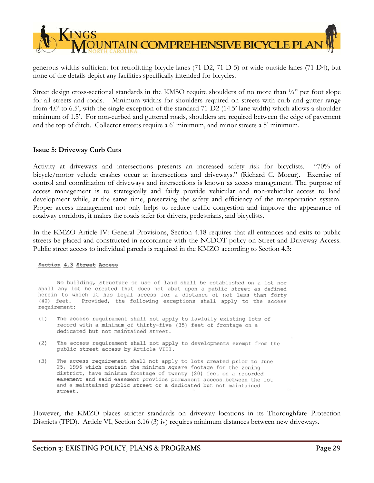

generous widths sufficient for retrofitting bicycle lanes (71-D2, 71 D-5) or wide outside lanes (71-D4), but none of the details depict any facilities specifically intended for bicycles.

Street design cross-sectional standards in the KMSO require shoulders of no more than  $\frac{1}{4}$ " per foot slope for all streets and roads. Minimum widths for shoulders required on streets with curb and gutter range from 4.0' to 6.5', with the single exception of the standard 71-D2 (14.5' lane width) which allows a shoulder minimum of 1.5'. For non-curbed and guttered roads, shoulders are required between the edge of pavement and the top of ditch. Collector streets require a 6' minimum, and minor streets a 5' minimum.

#### **Issue 5: Driveway Curb Cuts**

Activity at driveways and intersections presents an increased safety risk for bicyclists. "70% of bicycle/motor vehicle crashes occur at intersections and driveways." (Richard C. Moeur). Exercise of control and coordination of driveways and intersections is known as access management. The purpose of access management is to strategically and fairly provide vehicular and non-vehicular access to land development while, at the same time, preserving the safety and efficiency of the transportation system. Proper access management not only helps to reduce traffic congestion and improve the appearance of roadway corridors, it makes the roads safer for drivers, pedestrians, and bicyclists.

In the KMZO Article IV: General Provisions, Section 4.18 requires that all entrances and exits to public streets be placed and constructed in accordance with the NCDOT policy on Street and Driveway Access. Public street access to individual parcels is required in the KMZO according to Section 4.3:

#### Section 4.3 Street Access

No building, structure or use of land shall be established on a lot nor shall any lot be created that does not abut upon a public street as defined herein to which it has legal access for a distance of not less than forty Provided, the following exceptions shall apply to the access  $(40)$  feet. requirement:

- $(1)$ The access requirement shall not apply to lawfully existing lots of record with a minimum of thirty-five (35) feet of frontage on a dedicated but not maintained street.
- (2) The access requirement shall not apply to developments exempt from the public street access by Article VIII.
- $(3)$ The access requirement shall not apply to lots created prior to June 25, 1996 which contain the minimum square footage for the zoning district, have minimum frontage of twenty (20) feet on a recorded easement and said easement provides permanent access between the lot and a maintained public street or a dedicated but not maintained street.

However, the KMZO places stricter standards on driveway locations in its Thoroughfare Protection Districts (TPD). Article VI, Section 6.16 (3) iv) requires minimum distances between new driveways.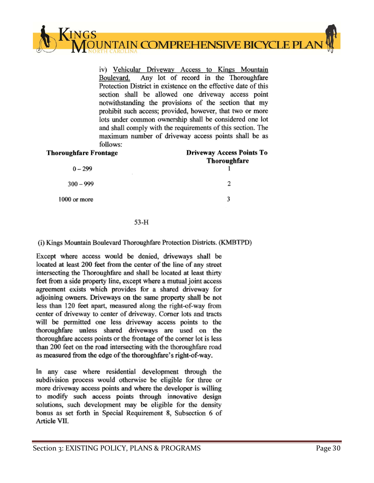

iv) Vehicular Driveway Access to Kings Mountain Any lot of record in the Thoroughfare Boulevard. Protection District in existence on the effective date of this section shall be allowed one driveway access point notwithstanding the provisions of the section that my prohibit such access; provided, however, that two or more lots under common ownership shall be considered one lot and shall comply with the requirements of this section. The maximum number of driveway access points shall be as follows:

| <b>Thoroughfare Frontage</b> | <b>Driveway Access Points To</b><br>Thoroughfare |
|------------------------------|--------------------------------------------------|
| $0 - 299$                    |                                                  |
| $300 - 999$                  | 2                                                |
| 1000 or more                 |                                                  |
|                              |                                                  |

#### 53-H

(i) Kings Mountain Boulevard Thoroughfare Protection Districts. (KMBTPD)

Except where access would be denied, driveways shall be located at least 200 feet from the center of the line of any street intersecting the Thoroughfare and shall be located at least thirty feet from a side property line, except where a mutual joint access agreement exists which provides for a shared driveway for adjoining owners. Driveways on the same property shall be not less than 120 feet apart, measured along the right-of-way from center of driveway to center of driveway. Corner lots and tracts will be permitted one less driveway access points to the thoroughfare unless shared driveways are used on the thoroughfare access points or the frontage of the corner lot is less than 200 feet on the road intersecting with the thoroughfare road as measured from the edge of the thoroughfare's right-of-way.

In any case where residential development through the subdivision process would otherwise be eligible for three or more driveway access points and where the developer is willing to modify such access points through innovative design solutions, such development may be eligible for the density bonus as set forth in Special Requirement 8, Subsection 6 of Article VII.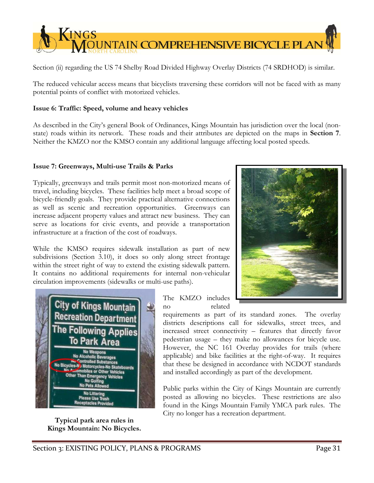

Section (ii) regarding the US 74 Shelby Road Divided Highway Overlay Districts (74 SRDHOD) is similar.

The reduced vehicular access means that bicyclists traversing these corridors will not be faced with as many potential points of conflict with motorized vehicles.

#### **Issue 6: Traffic: Speed, volume and heavy vehicles**

As described in the City's general Book of Ordinances, Kings Mountain has jurisdiction over the local (nonstate) roads within its network. These roads and their attributes are depicted on the maps in **Section 7**. Neither the KMZO nor the KMSO contain any additional language affecting local posted speeds.

#### **Issue 7: Greenways, Multi-use Trails & Parks**

Typically, greenways and trails permit most non-motorized means of travel, including bicycles. These facilities help meet a broad scope of bicycle-friendly goals. They provide practical alternative connections as well as scenic and recreation opportunities. Greenways can increase adjacent property values and attract new business. They can serve as locations for civic events, and provide a transportation infrastructure at a fraction of the cost of roadways.

While the KMSO requires sidewalk installation as part of new subdivisions (Section 3.10), it does so only along street frontage within the street right of way to extend the existing sidewalk pattern. It contains no additional requirements for internal non-vehicular circulation improvements (sidewalks or multi-use paths).



**Typical park area rules in Kings Mountain: No Bicycles.** 

The KMZO includes no related

requirements as part of its standard zones. The overlay districts descriptions call for sidewalks, street trees, and increased street connectivity – features that directly favor pedestrian usage – they make no allowances for bicycle use. However, the NC 161 Overlay provides for trails (where applicable) and bike facilities at the right-of-way. It requires that these be designed in accordance with NCDOT standards and installed accordingly as part of the development.

Public parks within the City of Kings Mountain are currently posted as allowing no bicycles. These restrictions are also found in the Kings Mountain Family YMCA park rules. The City no longer has a recreation department.

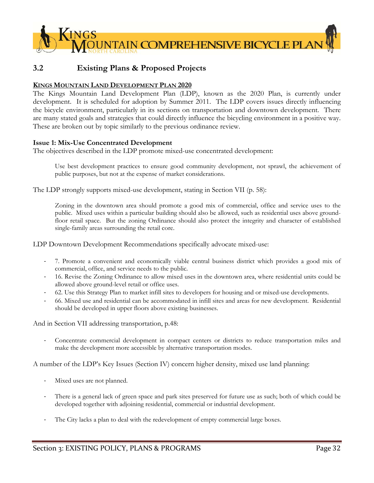

# **3.2 Existing Plans & Proposed Projects**

#### **KINGS MOUNTAIN LAND DEVELOPMENT PLAN 2020**

The Kings Mountain Land Development Plan (LDP), known as the 2020 Plan, is currently under development. It is scheduled for adoption by Summer 2011. The LDP covers issues directly influencing the bicycle environment, particularly in its sections on transportation and downtown development. There are many stated goals and strategies that could directly influence the bicycling environment in a positive way. These are broken out by topic similarly to the previous ordinance review.

#### **Issue 1: Mix-Use Concentrated Development**

The objectives described in the LDP promote mixed-use concentrated development:

Use best development practices to ensure good community development, not sprawl, the achievement of public purposes, but not at the expense of market considerations.

The LDP strongly supports mixed-use development, stating in Section VII (p. 58):

Zoning in the downtown area should promote a good mix of commercial, office and service uses to the public. Mixed uses within a particular building should also be allowed, such as residential uses above groundfloor retail space. But the zoning Ordinance should also protect the integrity and character of established single-family areas surrounding the retail core.

LDP Downtown Development Recommendations specifically advocate mixed-use:

- ‐ 7. Promote a convenient and economically viable central business district which provides a good mix of commercial, office, and service needs to the public.
- ‐ 16. Revise the Zoning Ordinance to allow mixed uses in the downtown area, where residential units could be allowed above ground-level retail or office uses.
- ‐ 62. Use this Strategy Plan to market infill sites to developers for housing and or mixed-use developments.
- ‐ 66. Mixed use and residential can be accommodated in infill sites and areas for new development. Residential should be developed in upper floors above existing businesses.

And in Section VII addressing transportation, p.48:

‐ Concentrate commercial development in compact centers or districts to reduce transportation miles and make the development more accessible by alternative transportation modes.

A number of the LDP's Key Issues (Section IV) concern higher density, mixed use land planning:

- ‐ Mixed uses are not planned.
- There is a general lack of green space and park sites preserved for future use as such; both of which could be developed together with adjoining residential, commercial or industrial development.
- The City lacks a plan to deal with the redevelopment of empty commercial large boxes.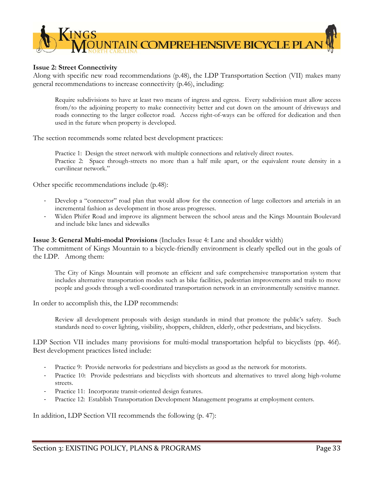

#### **Issue 2: Street Connectivity**

Along with specific new road recommendations (p.48), the LDP Transportation Section (VII) makes many general recommendations to increase connectivity (p.46), including:

Require subdivisions to have at least two means of ingress and egress. Every subdivision must allow access from/to the adjoining property to make connectivity better and cut down on the amount of driveways and roads connecting to the larger collector road. Access right-of-ways can be offered for dedication and then used in the future when property is developed.

The section recommends some related best development practices:

Practice 1: Design the street network with multiple connections and relatively direct routes. Practice 2: Space through-streets no more than a half mile apart, or the equivalent route density in a curvilinear network."

Other specific recommendations include (p.48):

- Develop a "connector" road plan that would allow for the connection of large collectors and arterials in an incremental fashion as development in those areas progresses.
- ‐ Widen Phifer Road and improve its alignment between the school areas and the Kings Mountain Boulevard and include bike lanes and sidewalks

#### **Issue 3: General Multi-modal Provisions** (Includes Issue 4: Lane and shoulder width)

The commitment of Kings Mountain to a bicycle-friendly environment is clearly spelled out in the goals of the LDP. Among them:

The City of Kings Mountain will promote an efficient and safe comprehensive transportation system that includes alternative transportation modes such as bike facilities, pedestrian improvements and trails to move people and goods through a well-coordinated transportation network in an environmentally sensitive manner.

In order to accomplish this, the LDP recommends:

Review all development proposals with design standards in mind that promote the public's safety. Such standards need to cover lighting, visibility, shoppers, children, elderly, other pedestrians, and bicyclists.

LDP Section VII includes many provisions for multi-modal transportation helpful to bicyclists (pp. 46f). Best development practices listed include:

- ‐ Practice 9: Provide networks for pedestrians and bicyclists as good as the network for motorists.
- ‐ Practice 10: Provide pedestrians and bicyclists with shortcuts and alternatives to travel along high-volume streets.
- Practice 11: Incorporate transit-oriented design features.
- Practice 12: Establish Transportation Development Management programs at employment centers.

In addition, LDP Section VII recommends the following (p. 47):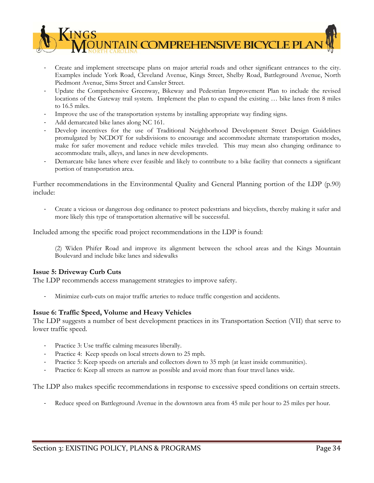

- ‐ Create and implement streetscape plans on major arterial roads and other significant entrances to the city. Examples include York Road, Cleveland Avenue, Kings Street, Shelby Road, Battleground Avenue, North Piedmont Avenue, Sims Street and Cansler Street.
- Update the Comprehensive Greenway, Bikeway and Pedestrian Improvement Plan to include the revised locations of the Gateway trail system. Implement the plan to expand the existing … bike lanes from 8 miles to 16.5 miles.
- ‐ Improve the use of the transportation systems by installing appropriate way finding signs.
- ‐ Add demarcated bike lanes along NC 161.
- ‐ Develop incentives for the use of Traditional Neighborhood Development Street Design Guidelines promulgated by NCDOT for subdivisions to encourage and accommodate alternate transportation modes, make for safer movement and reduce vehicle miles traveled. This may mean also changing ordinance to accommodate trails, alleys, and lanes in new developments.
- ‐ Demarcate bike lanes where ever feasible and likely to contribute to a bike facility that connects a significant portion of transportation area.

Further recommendations in the Environmental Quality and General Planning portion of the LDP (p.90) include:

‐ Create a vicious or dangerous dog ordinance to protect pedestrians and bicyclists, thereby making it safer and more likely this type of transportation alternative will be successful.

Included among the specific road project recommendations in the LDP is found:

(2) Widen Phifer Road and improve its alignment between the school areas and the Kings Mountain Boulevard and include bike lanes and sidewalks

#### **Issue 5: Driveway Curb Cuts**

The LDP recommends access management strategies to improve safety.

‐ Minimize curb-cuts on major traffic arteries to reduce traffic congestion and accidents.

#### **Issue 6: Traffic Speed, Volume and Heavy Vehicles**

The LDP suggests a number of best development practices in its Transportation Section (VII) that serve to lower traffic speed.

- Practice 3: Use traffic calming measures liberally.
- Practice 4: Keep speeds on local streets down to 25 mph.
- ‐ Practice 5: Keep speeds on arterials and collectors down to 35 mph (at least inside communities).
- ‐ Practice 6: Keep all streets as narrow as possible and avoid more than four travel lanes wide.

The LDP also makes specific recommendations in response to excessive speed conditions on certain streets.

Reduce speed on Battleground Avenue in the downtown area from 45 mile per hour to 25 miles per hour.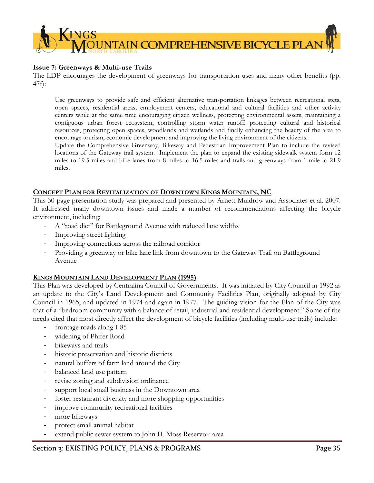

#### **Issue 7: Greenways & Multi-use Trails**

The LDP encourages the development of greenways for transportation uses and many other benefits (pp. 47f):

Use greenways to provide safe and efficient alternative transportation linkages between recreational stets, open spaces, residential areas, employment centers, educational and cultural facilities and other activity centers while at the same time encouraging citizen wellness, protecting environmental assets, maintaining a contiguous urban forest ecosystem, controlling storm water runoff, protecting cultural and historical resources, protecting open spaces, woodlands and wetlands and finally enhancing the beauty of the area to encourage tourism, economic development and improving the living environment of the citizens.

Update the Comprehensive Greenway, Bikeway and Pedestrian Improvement Plan to include the revised locations of the Gateway trail system. Implement the plan to expand the existing sidewalk system form 12 miles to 19.5 miles and bike lanes from 8 miles to 16.5 miles and trails and greenways from 1 mile to 21.9 miles.

#### **CONCEPT PLAN FOR REVITALIZATION OF DOWNTOWN KINGS MOUNTAIN, NC**

This 30-page presentation study was prepared and presented by Arnett Muldrow and Associates et al. 2007. It addressed many downtown issues and made a number of recommendations affecting the bicycle environment, including:

- ‐ A "road diet" for Battleground Avenue with reduced lane widths
- ‐ Improving street lighting
- ‐ Improving connections across the railroad corridor
- ‐ Providing a greenway or bike lane link from downtown to the Gateway Trail on Battleground Avenue

#### **KINGS MOUNTAIN LAND DEVELOPMENT PLAN (1995)**

This Plan was developed by Centralina Council of Governments. It was initiated by City Council in 1992 as an update to the City's Land Development and Community Facilities Plan, originally adopted by City Council in 1965, and updated in 1974 and again in 1977. The guiding vision for the Plan of the City was that of a "bedroom community with a balance of retail, industrial and residential development." Some of the needs cited that most directly affect the development of bicycle facilities (including multi-use trails) include:

- ‐ frontage roads along I-85
- widening of Phifer Road
- bikeways and trails
- ‐ historic preservation and historic districts
- natural buffers of farm land around the City
- balanced land use pattern
- ‐ revise zoning and subdivision ordinance
- support local small business in the Downtown area
- foster restaurant diversity and more shopping opportunities
- improve community recreational facilities
- ‐ more bikeways
- ‐ protect small animal habitat
- ‐ extend public sewer system to John H. Moss Reservoir area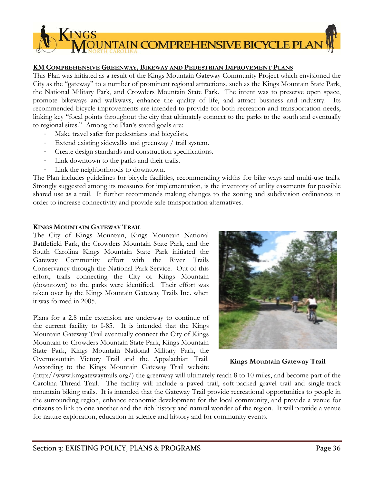# $\sqrt{\text{INGS}}$ **OUNTAIN COMPREHENSIVE BICYCLE PLAN**

#### **KM COMPREHENSIVE GREENWAY, BIKEWAY AND PEDESTRIAN IMPROVEMENT PLANS**

This Plan was initiated as a result of the Kings Mountain Gateway Community Project which envisioned the City as the "gateway" to a number of prominent regional attractions, such as the Kings Mountain State Park, the National Military Park, and Crowders Mountain State Park. The intent was to preserve open space, promote bikeways and walkways, enhance the quality of life, and attract business and industry. Its recommended bicycle improvements are intended to provide for both recreation and transportation needs, linking key "focal points throughout the city that ultimately connect to the parks to the south and eventually to regional sites." Among the Plan's stated goals are:

- Make travel safer for pedestrians and bicyclists.
- Extend existing sidewalks and greenway / trail system.
- ‐ Create design standards and construction specifications.
- Link downtown to the parks and their trails.
- Link the neighborhoods to downtown.

The Plan includes guidelines for bicycle facilities, recommending widths for bike ways and multi-use trails. Strongly suggested among its measures for implementation, is the inventory of utility easements for possible shared use as a trail. It further recommends making changes to the zoning and subdivision ordinances in order to increase connectivity and provide safe transportation alternatives.

#### **KINGS MOUNTAIN GATEWAY TRAIL**

The City of Kings Mountain, Kings Mountain National Battlefield Park, the Crowders Mountain State Park, and the South Carolina Kings Mountain State Park initiated the Gateway Community effort with the River Trails Conservancy through the National Park Service. Out of this effort, trails connecting the City of Kings Mountain (downtown) to the parks were identified. Their effort was taken over by the Kings Mountain Gateway Trails Inc. when it was formed in 2005.

Plans for a 2.8 mile extension are underway to continue of the current facility to I-85. It is intended that the Kings Mountain Gateway Trail eventually connect the City of Kings Mountain to Crowders Mountain State Park, Kings Mountain State Park, Kings Mountain National Military Park, the Overmountain Victory Trail and the Appalachian Trail. According to the Kings Mountain Gateway Trail website



#### **Kings Mountain Gateway Trail**

(http://www.kmgatewaytrails.org/) the greenway will ultimately reach 8 to 10 miles, and become part of the Carolina Thread Trail. The facility will include a paved trail, soft-packed gravel trail and single-track mountain biking trails. It is intended that the Gateway Trail provide recreational opportunities to people in the surrounding region, enhance economic development for the local community, and provide a venue for citizens to link to one another and the rich history and natural wonder of the region. It will provide a venue for nature exploration, education in science and history and for community events.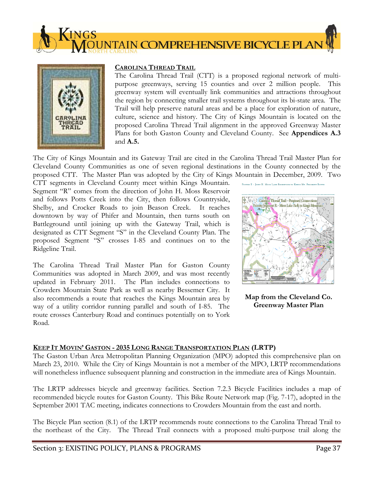



#### **CAROLINA THREAD TRAIL**

The Carolina Thread Trail (CTT) is a proposed regional network of multipurpose greenways, serving 15 counties and over 2 million people. This greenway system will eventually link communities and attractions throughout the region by connecting smaller trail systems throughout its bi-state area. The Trail will help preserve natural areas and be a place for exploration of nature, culture, science and history. The City of Kings Mountain is located on the proposed Carolina Thread Trail alignment in the approved Greenway Master Plans for both Gaston County and Cleveland County. See **Appendices A.3**  and **A.5.** 

The City of Kings Mountain and its Gateway Trail are cited in the Carolina Thread Trail Master Plan for Cleveland County Communities as one of seven regional destinations in the County connected by the proposed CTT. The Master Plan was adopted by the City of Kings Mountain in December, 2009. Two

CTT segments in Cleveland County meet within Kings Mountain. Segment "R" comes from the direction of John H. Moss Reservoir and follows Potts Creek into the City, then follows Countryside, Shelby, and Crocker Roads to join Beason Creek. It reaches downtown by way of Phifer and Mountain, then turns south on Battleground until joining up with the Gateway Trail, which is designated as CTT Segment "S" in the Cleveland County Plan. The proposed Segment "S" crosses I-85 and continues on to the Ridgeline Trail.

The Carolina Thread Trail Master Plan for Gaston County Communities was adopted in March 2009, and was most recently updated in February 2011. The Plan includes connections to Crowders Mountain State Park as well as nearby Bessemer City. It also recommends a route that reaches the Kings Mountain area by way of a utility corridor running parallel and south of I-85. The route crosses Canterbury Road and continues potentially on to York Road.



**Map from the Cleveland Co. Greenway Master Plan** 

#### **KEEP IT MOVIN' GASTON - 2035 LONG RANGE TRANSPORTATION PLAN (LRTP)**

The Gaston Urban Area Metropolitan Planning Organization (MPO) adopted this comprehensive plan on March 23, 2010. While the City of Kings Mountain is not a member of the MPO, LRTP recommendations will nonetheless influence subsequent planning and construction in the immediate area of Kings Mountain.

The LRTP addresses bicycle and greenway facilities. Section 7.2.3 Bicycle Facilities includes a map of recommended bicycle routes for Gaston County. This Bike Route Network map (Fig. 7-17), adopted in the September 2001 TAC meeting, indicates connections to Crowders Mountain from the east and north.

The Bicycle Plan section (8.1) of the LRTP recommends route connections to the Carolina Thread Trail to the northeast of the City. The Thread Trail connects with a proposed multi-purpose trail along the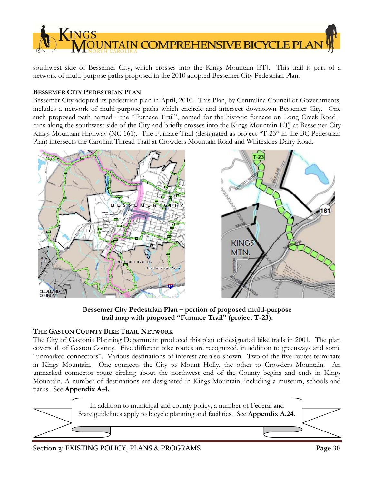

southwest side of Bessemer City, which crosses into the Kings Mountain ETJ. This trail is part of a network of multi-purpose paths proposed in the 2010 adopted Bessemer City Pedestrian Plan.

#### **BESSEMER CITY PEDESTRIAN PLAN**

Bessemer City adopted its pedestrian plan in April, 2010. This Plan, by Centralina Council of Governments, includes a network of multi-purpose paths which encircle and intersect downtown Bessemer City. One such proposed path named - the "Furnace Trail", named for the historic furnace on Long Creek Road runs along the southwest side of the City and briefly crosses into the Kings Mountain ETJ at Bessemer City Kings Mountain Highway (NC 161). The Furnace Trail (designated as project "T-23" in the BC Pedestrian Plan) intersects the Carolina Thread Trail at Crowders Mountain Road and Whitesides Dairy Road.



**Bessemer City Pedestrian Plan – portion of proposed multi-purpose trail map with proposed "Furnace Trail" (project T-23).**

## **THE GASTON COUNTY BIKE TRAIL NETWORK**

The City of Gastonia Planning Department produced this plan of designated bike trails in 2001. The plan covers all of Gaston County. Five different bike routes are recognized, in addition to greenways and some "unmarked connectors". Various destinations of interest are also shown. Two of the five routes terminate in Kings Mountain. One connects the City to Mount Holly, the other to Crowders Mountain. An unmarked connector route circling about the northwest end of the County begins and ends in Kings Mountain. A number of destinations are designated in Kings Mountain, including a museum, schools and parks. See **Appendix A-4.** 



## Section 3: EXISTING POLICY, PLANS & PROGRAMS Page 38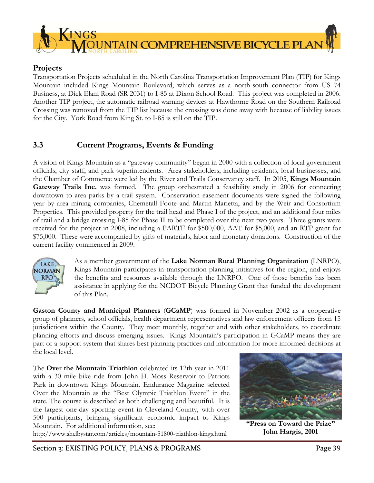

# **Projects**

Transportation Projects scheduled in the North Carolina Transportation Improvement Plan (TIP) for Kings Mountain included Kings Mountain Boulevard, which serves as a north-south connector from US 74 Business, at Dick Elam Road (SR 2031) to I-85 at Dixon School Road. This project was completed in 2006. Another TIP project, the automatic railroad warning devices at Hawthorne Road on the Southern Railroad Crossing was removed from the TIP list because the crossing was done away with because of liability issues for the City. York Road from King St. to I-85 is still on the TIP.

# **3.3 Current Programs, Events & Funding**

A vision of Kings Mountain as a "gateway community" began in 2000 with a collection of local government officials, city staff, and park superintendents. Area stakeholders, including residents, local businesses, and the Chamber of Commerce were led by the River and Trails Conservancy staff. In 2005, **Kings Mountain Gateway Trails Inc.** was formed. The group orchestrated a feasibility study in 2006 for connecting downtown to area parks by a trail system. Conservation easement documents were signed the following year by area mining companies, Chemetall Foote and Martin Marietta, and by the Weir and Consortium Properties. This provided property for the trail head and Phase I of the project, and an additional four miles of trail and a bridge crossing I-85 for Phase II to be completed over the next two years. Three grants were received for the project in 2008, including a PARTF for \$500,000, AAT for \$5,000, and an RTP grant for \$75,000. These were accompanied by gifts of materials, labor and monetary donations. Construction of the current facility commenced in 2009.



As a member government of the **Lake Norman Rural Planning Organization** (LNRPO), Kings Mountain participates in transportation planning initiatives for the region, and enjoys the benefits and resources available through the LNRPO. One of those benefits has been assistance in applying for the NCDOT Bicycle Planning Grant that funded the development of this Plan.

**Gaston County and Municipal Planners** (**GCaMP**) was formed in November 2002 as a cooperative group of planners, school officials, health department representatives and law enforcement officers from 15 jurisdictions within the County. They meet monthly, together and with other stakeholders, to coordinate planning efforts and discuss emerging issues. Kings Mountain's participation in GCaMP means they are part of a support system that shares best planning practices and information for more informed decisions at the local level.

The **Over the Mountain Triathlon** celebrated its 12th year in 2011 with a 30 mile bike ride from John H. Moss Reservoir to Patriots Park in downtown Kings Mountain. Endurance Magazine selected Over the Mountain as the "Best Olympic Triathlon Event" in the state. The course is described as both challenging and beautiful. It is the largest one-day sporting event in Cleveland County, with over 500 participants, bringing significant economic impact to Kings Mountain. For additional information, see:

http://www.shelbystar.com/articles/mountain-51800-triathlon-kings.html



**"Press on Toward the Prize" John Hargis, 2001**